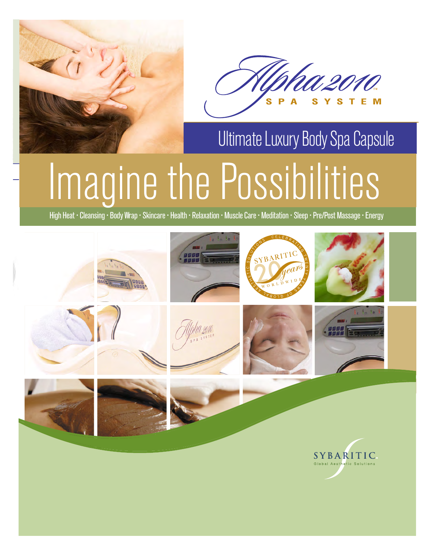



# Ultimate Luxury Body Spa Capsule

# Imagine the Possibilities

High Heat • Cleansing • Body Wrap • Skincare • Health • Relaxation • Muscle Care • Meditation • Sleep • Pre/Post Massage • Energy

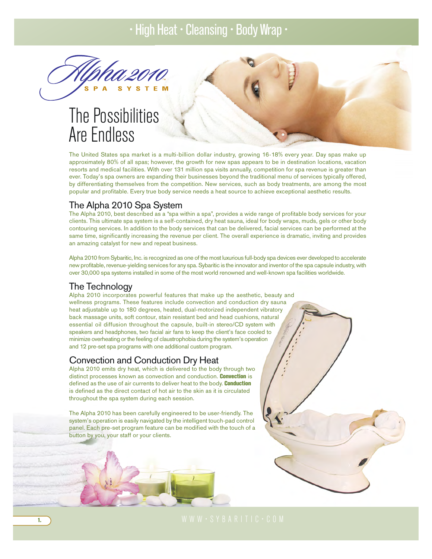# The Possibilities Are Endless

The United States spa market is a multi-billion dollar industry, growing 16-18% every year. Day spas make up approximately 80% of all spas; however, the growth for new spas appears to be in destination locations, vacation resorts and medical facilities. With over 131 million spa visits annually, competition for spa revenue is greater than ever. Today's spa owners are expanding their businesses beyond the traditional menu of services typically offered, by differentiating themselves from the competition. New services, such as body treatments, are among the most popular and profitable. Every true body service needs a heat source to achieve exceptional aesthetic results.

# The Alpha 2010 Spa System

The Alpha 2010, best described as a "spa within a spa", provides a wide range of profitable body services for your clients. This ultimate spa system is a self-contained, dry heat sauna, ideal for body wraps, muds, gels or other body contouring services. In addition to the body services that can be delivered, facial services can be performed at the same time, significantly increasing the revenue per client. The overall experience is dramatic, inviting and provides an amazing catalyst for new and repeat business.

Alpha 2010 from Sybaritic, Inc. is recognized as one of the most luxurious full-body spa devices ever developed to accelerate new profitable, revenue-yielding services for any spa. Sybaritic is the innovator and inventor of the spa capsule industry, with over 30,000 spa systems installed in some of the most world renowned and well-known spa facilities worldwide.

# The Technology

Alpha 2010 incorporates powerful features that make up the aesthetic, beauty and wellness programs. These features include convection and conduction dry sauna heat adjustable up to 180 degrees, heated, dual-motorized independent vibratory back massage units, soft contour, stain resistant bed and head cushions, natural essential oil diffusion throughout the capsule, built-in stereo/CD system with speakers and headphones, two facial air fans to keep the client's face cooled to minimize overheating or the feeling of claustrophobia during the system's operation and 12 pre-set spa programs with one additional custom program.

# Convection and Conduction Dry Heat

Alpha 2010 emits dry heat, which is delivered to the body through two distinct processes known as convection and conduction. **Convection** is defined as the use of air currents to deliver heat to the body. Conduction is defined as the direct contact of hot air to the skin as it is circulated throughout the spa system during each session.

The Alpha 2010 has been carefully engineered to be user-friendly. The system's operation is easily navigated by the intelligent touch-pad control panel. Each pre-set program feature can be modified with the touch of a button by you, your staff or your clients.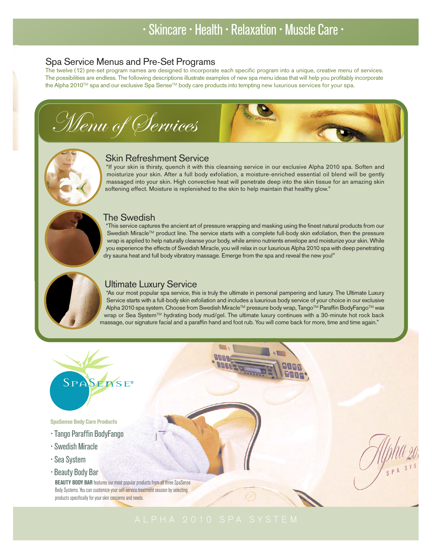# Spa Service Menus and Pre-Set Programs

The twelve (12) pre-set program names are designed to incorporate each specific program into a unique, creative menu of services. The possibilities are endless. The following descriptions illustrate examples of new spa menu ideas that will help you profitably incorporate the Alpha 2010™ spa and our exclusive Spa Sense™ body care products into tempting new luxurious services for your spa.

Menu of Services



SPA SYS

# Skin Refreshment Service

"If your skin is thirsty, quench it with this cleansing service in our exclusive Alpha 2010 spa. Soften and moisturize your skin. After a full body exfoliation, a moisture-enriched essential oil blend will be gently massaged into your skin. High convective heat will penetrate deep into the skin tissue for an amazing skin softening effect. Moisture is replenished to the skin to help maintain that healthy glow."

# The Swedish

"This service captures the ancient art of pressure wrapping and masking using the finest natural products from our Swedish Miracle™ product line. The service starts with a complete full-body skin exfoliation, then the pressure wrap is applied to help naturally cleanse your body, while amino nutrients envelope and moisturize your skin. While you experience the effects of Swedish Miracle, you will relax in our luxurious Alpha 2010 spa with deep penetrating dry sauna heat and full body vibratory massage. Emerge from the spa and reveal the new you!"



# Ultimate Luxury Service

"As our most popular spa service, this is truly the ultimate in personal pampering and luxury. The Ultimate Luxury Service starts with a full-body skin exfoliation and includes a luxurious body service of your choice in our exclusive Alpha 2010 spa system. Choose from Swedish Miracle™ pressure body wrap, Tango™ Paraffin BodyFango™ wax wrap or Sea System™ hydrating body mud/gel. The ultimate luxury continues with a 30-minute hot rock back massage, our signature facial and a paraffin hand and foot rub. You will come back for more, time and time again."



# SpaSense Body Care Products

- Tango Paraffin BodyFango
- Swedish Miracle
- Sea System
- Beauty Body Bar

BEAUTY BODY BAR features our most popular products from all three SpaSense Body Systems. You can customize your self-service treatment session by selecting products specifically for your skin concerns and needs.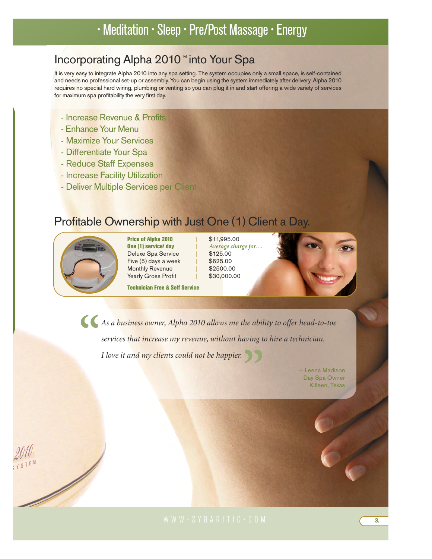# • Meditation • Sleep • Pre/Post Massage • Energy

# Incorporating Alpha 2010™ into Your Spa

It is very easy to integrate Alpha 2010 into any spa setting. The system occupies only a small space, is self-contained and needs no professional set-up or assembly. You can begin using the system immediately after delivery. Alpha 2010 requires no special hard wiring, plumbing or venting so you can plug it in and start offering a wide variety of services for maximum spa profitability the very first day.

- Increase Revenue & Profits
- Enhance Your Menu
- Maximize Your Services
- Differentiate Your Spa
- Reduce Staff Expenses
- Increase Facility Utilization
- Deliver Multiple Services per Client

# Profitable Ownership with Just One (1) Client a Day.



TEM

 $\overline{\mathscr{N}}$ 

**Price of Alpha 2010** | \$11,995.00<br> **One (1) service/ day** | Average chan Deluxe Spa Service Five  $(5)$  days a week  $\parallel$  \$625.00 Monthly Revenue | \$2500.00<br>Yearly Gross Profit | \$30,000.00 Yearly Gross Profit

Technician Free & Self Service

Average charge for. . .<br>\$125.00



*As a business owner, Alpha 2010 allows me the ability to offer head-to-toe services that increase my revenue, without having to hire a technician. I love it and my clients could not be happier.*<br>
<u>Bridge</u> **"**

— Leena Madison Day Spa Owner Killeen, Texas

WWW•SYBARITIC•COM 3.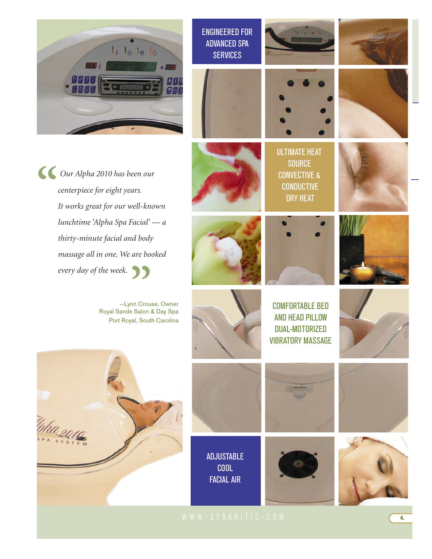

ENGINEERED FOR ADVANCED SPA **SERVICES** 







ULTIMATE HEAT **SOURCE** CONVECTIVE & CONDUCTIVE DRY HEAT

COMFORTABLE BED AND HEAD PILLOW DUAL-MOTORIZED VIBRATORY MASSAGE



*Our Alpha 2010 has been our centerpiece for eight years. It works great for our well-known lunchtime 'Alpha Spa Facial' — a thirty-minute facial and body massage all in one. We are booked every day of the week.*  **" "**

—Lynn Crouse, Owner Royal Sands Salon & Day Spa Port Royal, South Carolina







ADJUSTABLE COOL FACIAL AIR







WWW•SYBARITIC•COM 4.